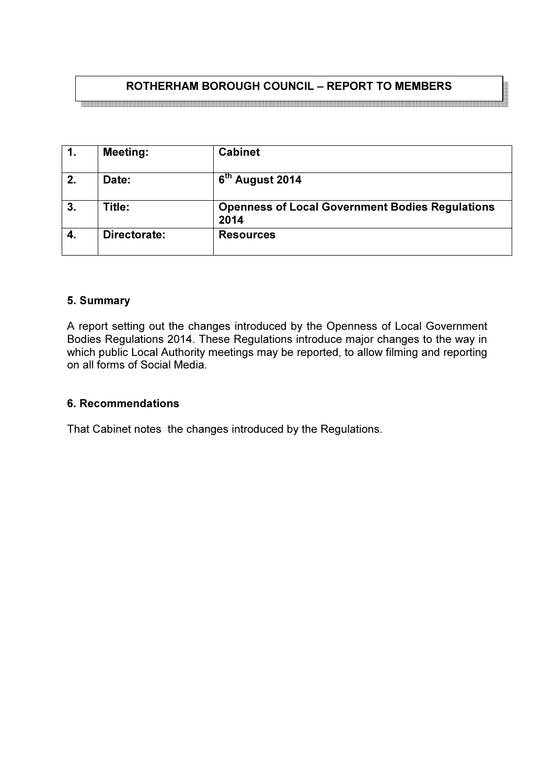# ROTHERHAM BOROUGH COUNCIL – REPORT TO MEMBERS

|    | <b>Meeting:</b> | <b>Cabinet</b>                                                 |
|----|-----------------|----------------------------------------------------------------|
| 2. | Date:           | 6 <sup>th</sup> August 2014                                    |
| 3. | Title:          | <b>Openness of Local Government Bodies Regulations</b><br>2014 |
| 4. | Directorate:    | <b>Resources</b>                                               |

## 5. Summary

A report setting out the changes introduced by the Openness of Local Government Bodies Regulations 2014. These Regulations introduce major changes to the way in which public Local Authority meetings may be reported, to allow filming and reporting on all forms of Social Media.

#### 6. Recommendations

That Cabinet notes the changes introduced by the Regulations.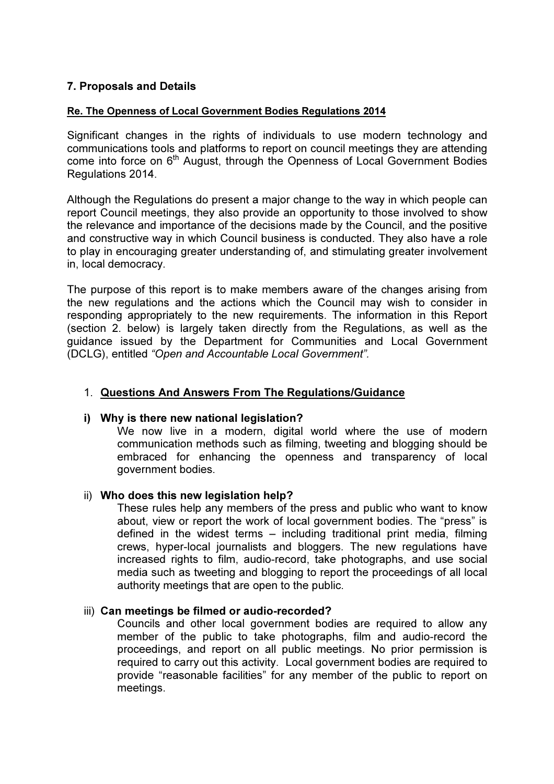## 7. Proposals and Details

### Re. The Openness of Local Government Bodies Regulations 2014

Significant changes in the rights of individuals to use modern technology and communications tools and platforms to report on council meetings they are attending come into force on 6<sup>th</sup> August, through the Openness of Local Government Bodies Regulations 2014.

Although the Regulations do present a major change to the way in which people can report Council meetings, they also provide an opportunity to those involved to show the relevance and importance of the decisions made by the Council, and the positive and constructive way in which Council business is conducted. They also have a role to play in encouraging greater understanding of, and stimulating greater involvement in, local democracy.

The purpose of this report is to make members aware of the changes arising from the new regulations and the actions which the Council may wish to consider in responding appropriately to the new requirements. The information in this Report (section 2. below) is largely taken directly from the Regulations, as well as the guidance issued by the Department for Communities and Local Government (DCLG), entitled "Open and Accountable Local Government".

## 1. Questions And Answers From The Regulations/Guidance

#### i) Why is there new national legislation?

We now live in a modern, digital world where the use of modern communication methods such as filming, tweeting and blogging should be embraced for enhancing the openness and transparency of local government bodies.

#### ii) Who does this new legislation help?

These rules help any members of the press and public who want to know about, view or report the work of local government bodies. The "press" is defined in the widest terms – including traditional print media, filming crews, hyper-local journalists and bloggers. The new regulations have increased rights to film, audio-record, take photographs, and use social media such as tweeting and blogging to report the proceedings of all local authority meetings that are open to the public.

#### iii) Can meetings be filmed or audio-recorded?

Councils and other local government bodies are required to allow any member of the public to take photographs, film and audio-record the proceedings, and report on all public meetings. No prior permission is required to carry out this activity. Local government bodies are required to provide "reasonable facilities" for any member of the public to report on meetings.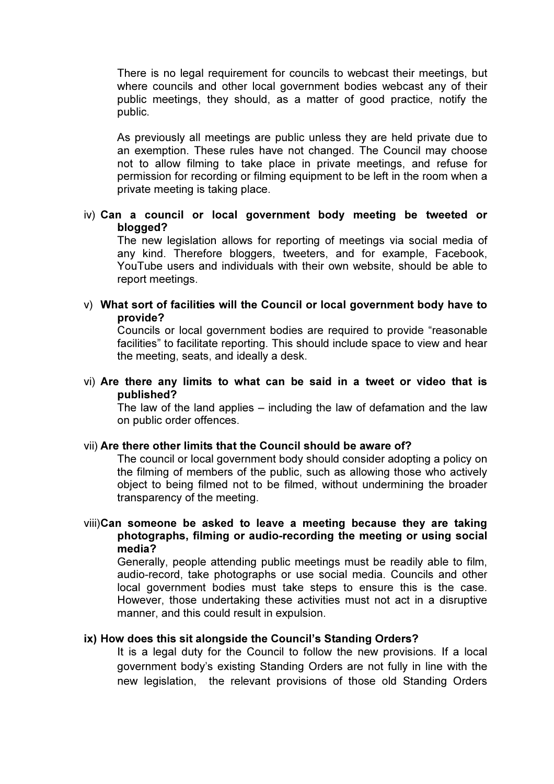There is no legal requirement for councils to webcast their meetings, but where councils and other local government bodies webcast any of their public meetings, they should, as a matter of good practice, notify the public.

As previously all meetings are public unless they are held private due to an exemption. These rules have not changed. The Council may choose not to allow filming to take place in private meetings, and refuse for permission for recording or filming equipment to be left in the room when a private meeting is taking place.

### iv) Can a council or local government body meeting be tweeted or blogged?

The new legislation allows for reporting of meetings via social media of any kind. Therefore bloggers, tweeters, and for example, Facebook, YouTube users and individuals with their own website, should be able to report meetings.

#### v) What sort of facilities will the Council or local government body have to provide?

Councils or local government bodies are required to provide "reasonable facilities" to facilitate reporting. This should include space to view and hear the meeting, seats, and ideally a desk.

vi) Are there any limits to what can be said in a tweet or video that is published?

The law of the land applies – including the law of defamation and the law on public order offences.

#### vii) Are there other limits that the Council should be aware of?

The council or local government body should consider adopting a policy on the filming of members of the public, such as allowing those who actively object to being filmed not to be filmed, without undermining the broader transparency of the meeting.

### viii)Can someone be asked to leave a meeting because they are taking photographs, filming or audio-recording the meeting or using social media?

Generally, people attending public meetings must be readily able to film, audio-record, take photographs or use social media. Councils and other local government bodies must take steps to ensure this is the case. However, those undertaking these activities must not act in a disruptive manner, and this could result in expulsion.

#### ix) How does this sit alongside the Council's Standing Orders?

It is a legal duty for the Council to follow the new provisions. If a local government body's existing Standing Orders are not fully in line with the new legislation, the relevant provisions of those old Standing Orders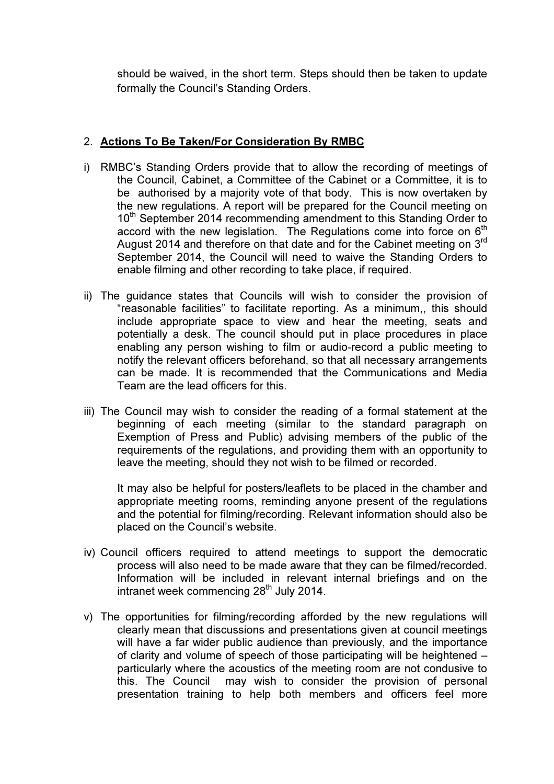should be waived, in the short term. Steps should then be taken to update formally the Council's Standing Orders.

## 2. Actions To Be Taken/For Consideration By RMBC

- i) RMBC's Standing Orders provide that to allow the recording of meetings of the Council, Cabinet, a Committee of the Cabinet or a Committee, it is to be authorised by a majority vote of that body. This is now overtaken by the new regulations. A report will be prepared for the Council meeting on 10<sup>th</sup> September 2014 recommending amendment to this Standing Order to accord with the new legislation. The Regulations come into force on  $6<sup>th</sup>$ August 2014 and therefore on that date and for the Cabinet meeting on 3<sup>rd</sup> September 2014, the Council will need to waive the Standing Orders to enable filming and other recording to take place, if required.
- ii) The guidance states that Councils will wish to consider the provision of "reasonable facilities" to facilitate reporting. As a minimum,, this should include appropriate space to view and hear the meeting, seats and potentially a desk. The council should put in place procedures in place enabling any person wishing to film or audio-record a public meeting to notify the relevant officers beforehand, so that all necessary arrangements can be made. It is recommended that the Communications and Media Team are the lead officers for this.
- iii) The Council may wish to consider the reading of a formal statement at the beginning of each meeting (similar to the standard paragraph on Exemption of Press and Public) advising members of the public of the requirements of the regulations, and providing them with an opportunity to leave the meeting, should they not wish to be filmed or recorded.

It may also be helpful for posters/leaflets to be placed in the chamber and appropriate meeting rooms, reminding anyone present of the regulations and the potential for filming/recording. Relevant information should also be placed on the Council's website.

- iv) Council officers required to attend meetings to support the democratic process will also need to be made aware that they can be filmed/recorded. Information will be included in relevant internal briefings and on the intranet week commencing 28<sup>th</sup> July 2014.
- v) The opportunities for filming/recording afforded by the new regulations will clearly mean that discussions and presentations given at council meetings will have a far wider public audience than previously, and the importance of clarity and volume of speech of those participating will be heightened – particularly where the acoustics of the meeting room are not condusive to this. The Council may wish to consider the provision of personal presentation training to help both members and officers feel more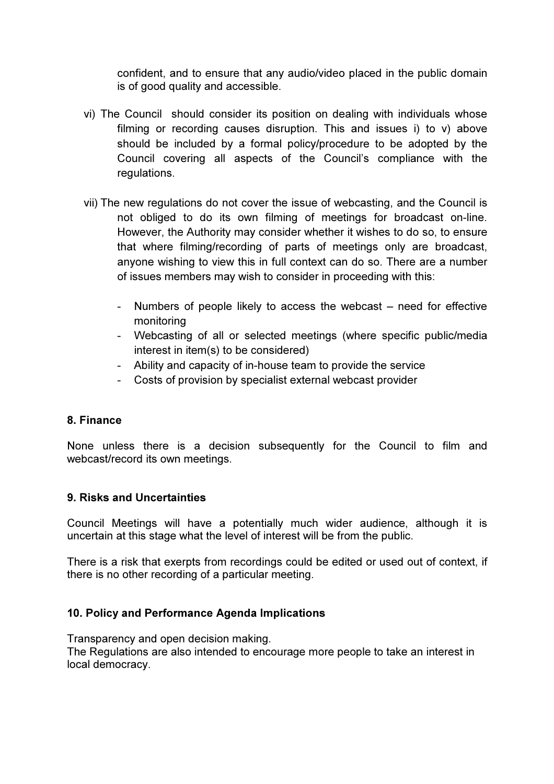confident, and to ensure that any audio/video placed in the public domain is of good quality and accessible.

- vi) The Council should consider its position on dealing with individuals whose filming or recording causes disruption. This and issues i) to v) above should be included by a formal policy/procedure to be adopted by the Council covering all aspects of the Council's compliance with the regulations.
- vii) The new regulations do not cover the issue of webcasting, and the Council is not obliged to do its own filming of meetings for broadcast on-line. However, the Authority may consider whether it wishes to do so, to ensure that where filming/recording of parts of meetings only are broadcast, anyone wishing to view this in full context can do so. There are a number of issues members may wish to consider in proceeding with this:
	- Numbers of people likely to access the webcast need for effective monitoring
	- Webcasting of all or selected meetings (where specific public/media interest in item(s) to be considered)
	- Ability and capacity of in-house team to provide the service
	- Costs of provision by specialist external webcast provider

# 8. Finance

None unless there is a decision subsequently for the Council to film and webcast/record its own meetings.

# 9. Risks and Uncertainties

Council Meetings will have a potentially much wider audience, although it is uncertain at this stage what the level of interest will be from the public.

There is a risk that exerpts from recordings could be edited or used out of context, if there is no other recording of a particular meeting.

# 10. Policy and Performance Agenda Implications

Transparency and open decision making.

The Regulations are also intended to encourage more people to take an interest in local democracy.